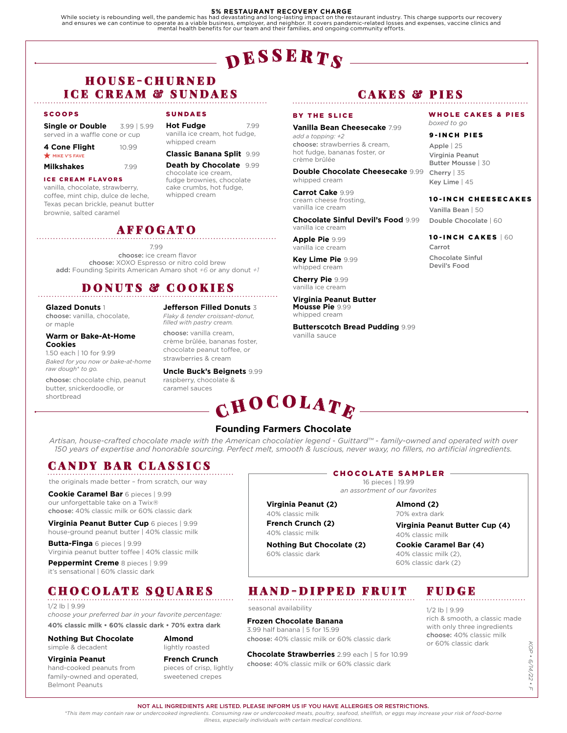### **5% RESTAURANT RECOVERY CHARGE**

While society is rebounding well, the pandemic has had devastating and long-lasting impact on the restaurant industry. This charge supports our recovery<br>and ensures we can continue to operate as a viable business, employer mental health benefits for our team and their families, and ongoing community efforts.

# $\mathbf{p}$  esserts

## H O U S E - C H U R N E D ICE CREAM & SUNDAES

#### SCOOPS

| Single or Double 3.99   5.99   |       |
|--------------------------------|-------|
| served in a waffle cone or cup |       |
| 4 Cone Flight                  | 10.99 |
| MIKE V'S FAVE                  |       |

#### **Milkshakes** 7.99

## ICE CREAM FLAVORS

vanilla, chocolate, strawberry, coffee, mint chip, dulce de leche, Texas pecan brickle, peanut butter brownie, salted caramel

## SUNDAES

**Hot Fudge** 7.99 vanilla ice cream, hot fudge, whipped cream

## **Classic Banana Split** 9.99

**Death by Chocolate** 9.99 chocolate ice cream, fudge brownies, chocolate cake crumbs, hot fudge, whipped cream

## AFFOGATO

7.99

choose: ice cream flavor choose: XOXO Espresso or nitro cold brew add: Founding Spirits American Amaro shot *+6* or any donut *+1*

## DONUTS & COOKIES

**Glazed Donuts** 1 choose: vanilla, chocolate, or maple

## **Warm or Bake-At-Home Cookies**

1.50 each | 10 for 9.99 *Baked for you now or bake-at-home raw dough\* to go.*

choose: chocolate chip, peanut butter, snickerdoodle, or shortbread

**Jefferson Filled Donuts** 3 *Flaky & tender croissant-donut, filled with pastry cream.* 

choose: vanilla cream, crème brûlée, bananas foster, chocolate peanut toffee, or

strawberries & cream

caramel sauces

**Uncle Buck's Beignets** 9.99 raspberry, chocolate &

# $\mathbf C$ HOCOLATE

## CAKES & PIES

#### BY THE SLICE

**Vanilla Bean Cheesecake** 7.99 *add a topping: +2* choose: strawberries & cream, hot fudge, bananas foster, or crème brûlée

**Double Chocolate Cheesecake** 9.99 whipped cream

**Carrot Cake** 9.99 cream cheese frosting, vanilla ice cream

**Chocolate Sinful Devil's Food** 9.99 vanilla ice cream

**Apple Pie** 9.99 vanilla ice cream

**Key Lime Pie** 9.99 whipped cream

**Cherry Pie** 9.99 vanilla ice cream

**Virginia Peanut Butter Mousse Pie** 9.99 whipped cream

**Butterscotch Bread Pudding** 9.99 vanilla sauce

WHOLE CAKES & PIES *boxed to go*

9-INCH PIES

Apple | 25 Virginia Peanut Butter Mousse | 30 Cherry | 35 Key Lime | 45

10-INCH CHEESECAKES Vanilla Bean | 50

Double Chocolate | 60

## 10-INCH CAKES | 60

Carrot Chocolate Sinful Devil's Food

# **Founding Farmers Chocolate**

**Virginia Peanut (2)** 40% classic milk **French Crunch (2)** 40% classic milk

*Artisan, house-crafted chocolate made with the American chocolatier legend - Guittard™ - family-owned and operated with over 150 years of expertise and honorable sourcing. Perfect melt, smooth & luscious, never waxy, no fillers, no artificial ingredients.*

## CANDY BAR CLASSICS

the originals made better – from scratch, our way

**Cookie Caramel Bar** 6 pieces | 9.99 our unforgettable take on a Twix® choose: 40% classic milk or 60% classic dark

**Virginia Peanut Butter Cup** 6 pieces | 9.99 house-ground peanut butter | 40% classic milk

**Butta-Finga** 6 pieces | 9.99 Virginia peanut butter toffee | 40% classic milk

**Peppermint Creme** 8 pieces | 9.99 it's sensational | 60% classic dark

## CHOCOLATE SQUARES

#### 1/2 lb | 9.99

*choose your preferred bar in your favorite percentage:* **40% classic milk • 60% classic dark • 70% extra dark**

### **Nothing But Chocolate**

simple & decadent

**Virginia Peanut** hand-cooked peanuts from family-owned and operated, Belmont Peanuts

**French Crunch** pieces of crisp, lightly sweetened crepes

**Almond**  lightly roasted

#### CHOCOLATE SAMPLER 16 pieces | 19.99

*an assortment of our favorites*

### **Almond (2)** 70% extra dark

**Virginia Peanut Butter Cup (4)** 40% classic milk

**Cookie Caramel Bar (4)** 40% classic milk (2), 60% classic dark (2)

## HAND-DIPPED FRUIT

## **Frozen Chocolate Banana**

**Chocolate Strawberries** 2.99 each | 5 for 10.99 choose: 40% classic milk or 60% classic dark

## FUDGE

1/2 lb | 9.99

rich & smooth, a classic made with only three ingredients choose: 40% classic milk or 60% classic dark

KOP .  *KOP • 6/14/22 • F* 6/14/22  $\frac{1}{\pi}$ 

NOT ALL INGREDIENTS ARE LISTED. PLEASE INFORM US IF YOU HAVE ALLERGIES OR RESTRICTIONS.

*\*This item may contain raw or undercooked ingredients. Consuming raw or undercooked meats, poultry, seafood, shellfish, or eggs may increase your risk of food-borne illness, especially individuals with certain medical conditions.*

60% classic dark

3.99 half banana | 5 for 15.99

seasonal availability

choose: 40% classic milk or 60% classic dark

**Nothing But Chocolate (2)**